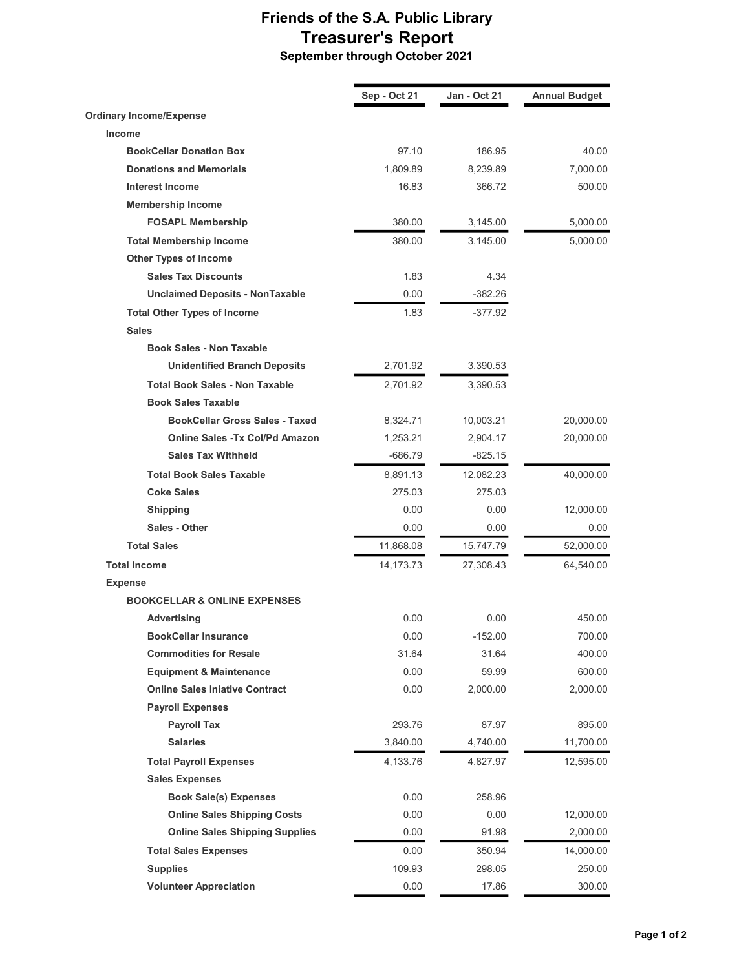## Friends of the S.A. Public Library Treasurer's Report September through October 2021

Sep - Oct 21 Jan - Oct 21 Annual Budget Ordinary Income/Expense Income BookCellar Donation Box 61 and 186.95 186.95 40.00 **Donations and Memorials 1,809.89** 8,239.89 7,000.00 Interest Income 16.83 366.72 500.00 Membership Income FOSAPL Membership 380.00 3,145.00 5,000.00 Total Membership Income 380.00 3,145.00 5,000.00 Other Types of Income Sales Tax Discounts 1.83 4.34 Unclaimed Deposits - NonTaxable 0.00 -382.26 Total Other Types of Income 1.83 -377.92 Sales Book Sales - Non Taxable Unidentified Branch Deposits 2,701.92 3,390.53 Total Book Sales - Non Taxable 2,701.92 3,390.53 Book Sales Taxable **BookCellar Gross Sales - Taxed** 8,324.71 10,003.21 20,000.00 Online Sales -Tx Col/Pd Amazon 1,253.21 2,904.17 20,000.00 Sales Tax Withheld -686.79 -686.79 **Total Book Sales Taxable**  40,000.00 8,891.13 12,082.23 40,000.00 **Coke Sales** 275.03 275.03 **Shipping 12,000.00 12,000.00 12,000.00 12,000.00 12,000.00** Sales - Other 0.00 0.00 0.00 **Total Sales** 11,868.08 15,747.79 52,000.00 **Total Income 64,540.00** 14,173.73 27,308.43 64,540.00 Expense BOOKCELLAR & ONLINE EXPENSES Advertising 150.00 0.00 0.00 0.00 450.00 **BookCellar Insurance** 152.00 **152.00** 152.00 **152.00** 700.00 Commodities for Resale 31.64 31.64 400.00 **Equipment & Maintenance**  $0.00$  59.99 600.00 **Online Sales Iniative Contract** 0.00 2,000.00 2,000.00 Payroll Expenses **Payroll Tax 293.76 87.97 895.00** Salaries 3,840.00 4,740.00 11,700.00 Total Payroll Expenses 2008 12,595.00 4,133.76 4,827.97 44,827.97 Sales Expenses Book Sale(s) Expenses 0.00 258.96 Online Sales Shipping Costs **0.00** 0.00 0.00 12,000.00 Online Sales Shipping Supplies **0.00** 91.98 2,000.00 Total Sales Expenses 0.00 350.94 14,000.00 **Supplies** 250.00 Volunteer Appreciation **17.86** 300.00